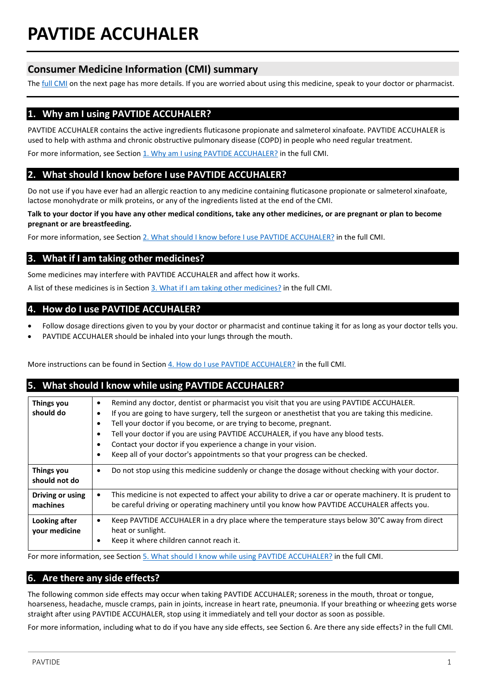# **PAVTIDE ACCUHALER**

# **Consumer Medicine Information (CMI) summary**

The **full CMI** on the next page has more details. If you are worried about using this medicine, speak to your doctor or pharmacist.

# **1. Why am I using PAVTIDE ACCUHALER?**

PAVTIDE ACCUHALER contains the active ingredients fluticasone propionate and salmeterol xinafoate. PAVTIDE ACCUHALER is used to help with asthma and chronic obstructive pulmonary disease (COPD) in people who need regular treatment. For more information, see Section [1. Why am I using PAVTIDE ACCUHALER?](#page-1-1) in the full CMI.

# **2. What should I know before I use PAVTIDE ACCUHALER?**

Do not use if you have ever had an allergic reaction to any medicine containing fluticasone propionate or salmeterol xinafoate, lactose monohydrate or milk proteins, or any of the ingredients listed at the end of the CMI.

**Talk to your doctor if you have any other medical conditions, take any other medicines, or are pregnant or plan to become pregnant or are breastfeeding.** 

For more information, see Section [2. What should I know before I use PAVTIDE ACCUHALER?](#page-1-2) in the full CMI.

# **3. What if I am taking other medicines?**

Some medicines may interfere with PAVTIDE ACCUHALER and affect how it works.

A list of these medicines is in Section [3. What if I am taking other medicines?](#page-2-0) in the full CMI.

# **4. How do I use PAVTIDE ACCUHALER?**

- Follow dosage directions given to you by your doctor or pharmacist and continue taking it for as long as your doctor tells you.
- PAVTIDE ACCUHALER should be inhaled into your lungs through the mouth.

More instructions can be found in Section [4. How do I use PAVTIDE ACCUHALER?](#page-2-1) in the full CMI.

# **5. What should I know while using PAVTIDE ACCUHALER?**

| <b>Things you</b><br>should do | Remind any doctor, dentist or pharmacist you visit that you are using PAVTIDE ACCUHALER.<br>$\bullet$<br>If you are going to have surgery, tell the surgeon or anesthetist that you are taking this medicine.<br>٠<br>Tell your doctor if you become, or are trying to become, pregnant.<br>٠<br>Tell your doctor if you are using PAVTIDE ACCUHALER, if you have any blood tests.<br>$\bullet$<br>Contact your doctor if you experience a change in your vision.<br>$\bullet$<br>Keep all of your doctor's appointments so that your progress can be checked.<br>٠ |
|--------------------------------|---------------------------------------------------------------------------------------------------------------------------------------------------------------------------------------------------------------------------------------------------------------------------------------------------------------------------------------------------------------------------------------------------------------------------------------------------------------------------------------------------------------------------------------------------------------------|
| Things you<br>should not do    | Do not stop using this medicine suddenly or change the dosage without checking with your doctor.<br>$\bullet$                                                                                                                                                                                                                                                                                                                                                                                                                                                       |
| Driving or using<br>machines   | This medicine is not expected to affect your ability to drive a car or operate machinery. It is prudent to<br>$\bullet$<br>be careful driving or operating machinery until you know how PAVTIDE ACCUHALER affects you.                                                                                                                                                                                                                                                                                                                                              |
| Looking after<br>your medicine | Keep PAVTIDE ACCUHALER in a dry place where the temperature stays below 30°C away from direct<br>$\bullet$<br>heat or sunlight.<br>Keep it where children cannot reach it.<br>$\bullet$                                                                                                                                                                                                                                                                                                                                                                             |

For more information, see Section [5. What should I know while using PAVTIDE ACCUHALER?](#page-3-0) in the full CMI.

# **6. Are there any side effects?**

The following common side effects may occur when taking PAVTIDE ACCUHALER; soreness in the mouth, throat or tongue, hoarseness, headache, muscle cramps, pain in joints, increase in heart rate, pneumonia. If your breathing or wheezing gets worse straight after using PAVTIDE ACCUHALER, stop using it immediately and tell your doctor as soon as possible.

For more information, including what to do if you have any side effects, see Section 6. Are there any side effects? in the full CMI.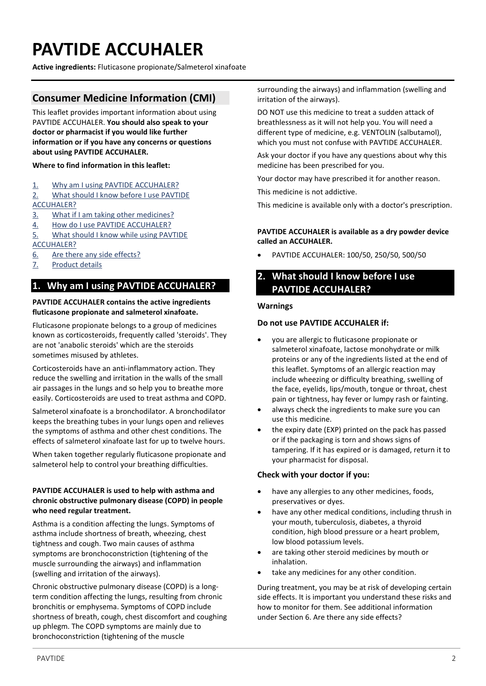# <span id="page-1-0"></span>**PAVTIDE ACCUHALER**

**Active ingredients:** Fluticasone propionate/Salmeterol xinafoate

# **Consumer Medicine Information (CMI)**

This leaflet provides important information about using PAVTIDE ACCUHALER. **You should also speak to your doctor or pharmacist if you would like further information or if you have any concerns or questions about using PAVTIDE ACCUHALER.**

# **Where to find information in this leaflet:**

- 1. [Why am I using PAVTIDE ACCUHALER?](#page-1-1)
- 2. [What should I know before I use PAVTIDE](#page-1-2)  [ACCUHALER?](#page-1-2)
- 3. [What if I am taking other medicines?](#page-2-0)
- 4. [How do I use PAVTIDE ACCUHALER?](#page-2-1)
- 5. [What should I know while using PAVTIDE](#page-3-0)  [ACCUHALER?](#page-3-0)
- 6. [Are there any side effects?](#page-4-0)
- 7. [Product details](#page-4-1)

# <span id="page-1-1"></span>**1. Why am I using PAVTIDE ACCUHALER?**

#### **PAVTIDE ACCUHALER contains the active ingredients fluticasone propionate and salmeterol xinafoate.**

Fluticasone propionate belongs to a group of medicines known as corticosteroids, frequently called 'steroids'. They are not 'anabolic steroids' which are the steroids sometimes misused by athletes.

Corticosteroids have an anti-inflammatory action. They reduce the swelling and irritation in the walls of the small air passages in the lungs and so help you to breathe more easily. Corticosteroids are used to treat asthma and COPD.

Salmeterol xinafoate is a bronchodilator. A bronchodilator keeps the breathing tubes in your lungs open and relieves the symptoms of asthma and other chest conditions. The effects of salmeterol xinafoate last for up to twelve hours.

When taken together regularly fluticasone propionate and salmeterol help to control your breathing difficulties.

## **PAVTIDE ACCUHALER is used to help with asthma and chronic obstructive pulmonary disease (COPD) in people who need regular treatment.**

Asthma is a condition affecting the lungs. Symptoms of asthma include shortness of breath, wheezing, chest tightness and cough. Two main causes of asthma symptoms are bronchoconstriction (tightening of the muscle surrounding the airways) and inflammation (swelling and irritation of the airways).

Chronic obstructive pulmonary disease (COPD) is a longterm condition affecting the lungs, resulting from chronic bronchitis or emphysema. Symptoms of COPD include shortness of breath, cough, chest discomfort and coughing up phlegm. The COPD symptoms are mainly due to bronchoconstriction (tightening of the muscle

surrounding the airways) and inflammation (swelling and irritation of the airways).

DO NOT use this medicine to treat a sudden attack of breathlessness as it will not help you. You will need a different type of medicine, e.g. VENTOLIN (salbutamol), which you must not confuse with PAVTIDE ACCUHALER.

Ask your doctor if you have any questions about why this medicine has been prescribed for you.

Your doctor may have prescribed it for another reason.

This medicine is not addictive.

This medicine is available only with a doctor's prescription.

# **PAVTIDE ACCUHALER is available as a dry powder device called an ACCUHALER.**

• PAVTIDE ACCUHALER: 100/50, 250/50, 500/50

# <span id="page-1-2"></span>**2. What should I know before I use PAVTIDE ACCUHALER?**

#### **Warnings**

#### **Do not use PAVTIDE ACCUHALER if:**

- you are allergic to fluticasone propionate or salmeterol xinafoate, lactose monohydrate or milk proteins or any of the ingredients listed at the end of this leaflet. Symptoms of an allergic reaction may include wheezing or difficulty breathing, swelling of the face, eyelids, lips/mouth, tongue or throat, chest pain or tightness, hay fever or lumpy rash or fainting.
- always check the ingredients to make sure you can use this medicine.
- the expiry date (EXP) printed on the pack has passed or if the packaging is torn and shows signs of tampering. If it has expired or is damaged, return it to your pharmacist for disposal.

#### **Check with your doctor if you:**

- have any allergies to any other medicines, foods, preservatives or dyes.
- have any other medical conditions, including thrush in your mouth, tuberculosis, diabetes, a thyroid condition, high blood pressure or a heart problem, low blood potassium levels.
- are taking other steroid medicines by mouth or inhalation.
- take any medicines for any other condition.

During treatment, you may be at risk of developing certain side effects. It is important you understand these risks and how to monitor for them. See additional information under Section 6. Are there any side effects?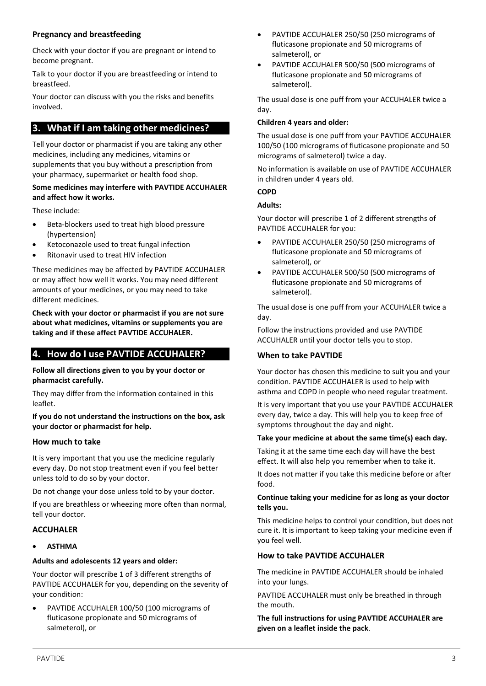# **Pregnancy and breastfeeding**

Check with your doctor if you are pregnant or intend to become pregnant.

Talk to your doctor if you are breastfeeding or intend to breastfeed.

Your doctor can discuss with you the risks and benefits involved.

# <span id="page-2-0"></span>**3. What if I am taking other medicines?**

Tell your doctor or pharmacist if you are taking any other medicines, including any medicines, vitamins or supplements that you buy without a prescription from your pharmacy, supermarket or health food shop.

## **Some medicines may interfere with PAVTIDE ACCUHALER and affect how it works.**

These include:

- Beta-blockers used to treat high blood pressure (hypertension)
- Ketoconazole used to treat fungal infection
- Ritonavir used to treat HIV infection

These medicines may be affected by PAVTIDE ACCUHALER or may affect how well it works. You may need different amounts of your medicines, or you may need to take different medicines.

**Check with your doctor or pharmacist if you are not sure about what medicines, vitamins or supplements you are taking and if these affect PAVTIDE ACCUHALER.**

# <span id="page-2-1"></span>**4. How do I use PAVTIDE ACCUHALER?**

#### **Follow all directions given to you by your doctor or pharmacist carefully.**

They may differ from the information contained in this leaflet.

#### **If you do not understand the instructions on the box, ask your doctor or pharmacist for help.**

#### **How much to take**

It is very important that you use the medicine regularly every day. Do not stop treatment even if you feel better unless told to do so by your doctor.

Do not change your dose unless told to by your doctor.

If you are breathless or wheezing more often than normal, tell your doctor.

# **ACCUHALER**

• **ASTHMA**

# **Adults and adolescents 12 years and older:**

Your doctor will prescribe 1 of 3 different strengths of PAVTIDE ACCUHALER for you, depending on the severity of your condition:

• PAVTIDE ACCUHALER 100/50 (100 micrograms of fluticasone propionate and 50 micrograms of salmeterol), or

- PAVTIDE ACCUHALER 250/50 (250 micrograms of fluticasone propionate and 50 micrograms of salmeterol), or
- PAVTIDE ACCUHALER 500/50 (500 micrograms of fluticasone propionate and 50 micrograms of salmeterol).

The usual dose is one puff from your ACCUHALER twice a day.

#### **Children 4 years and older:**

The usual dose is one puff from your PAVTIDE ACCUHALER 100/50 (100 micrograms of fluticasone propionate and 50 micrograms of salmeterol) twice a day.

No information is available on use of PAVTIDE ACCUHALER in children under 4 years old.

## **COPD**

## **Adults:**

Your doctor will prescribe 1 of 2 different strengths of PAVTIDE ACCUHALER for you:

- PAVTIDE ACCUHALER 250/50 (250 micrograms of fluticasone propionate and 50 micrograms of salmeterol), or
- PAVTIDE ACCUHALER 500/50 (500 micrograms of fluticasone propionate and 50 micrograms of salmeterol).

The usual dose is one puff from your ACCUHALER twice a day.

Follow the instructions provided and use PAVTIDE ACCUHALER until your doctor tells you to stop.

# **When to take PAVTIDE**

Your doctor has chosen this medicine to suit you and your condition. PAVTIDE ACCUHALER is used to help with asthma and COPD in people who need regular treatment.

It is very important that you use your PAVTIDE ACCUHALER every day, twice a day. This will help you to keep free of symptoms throughout the day and night.

#### **Take your medicine at about the same time(s) each day.**

Taking it at the same time each day will have the best effect. It will also help you remember when to take it.

It does not matter if you take this medicine before or after food.

#### **Continue taking your medicine for as long as your doctor tells you.**

This medicine helps to control your condition, but does not cure it. It is important to keep taking your medicine even if you feel well.

# **How to take PAVTIDE ACCUHALER**

The medicine in PAVTIDE ACCUHALER should be inhaled into your lungs.

PAVTIDE ACCUHALER must only be breathed in through the mouth.

**The full instructions for using PAVTIDE ACCUHALER are given on a leaflet inside the pack**.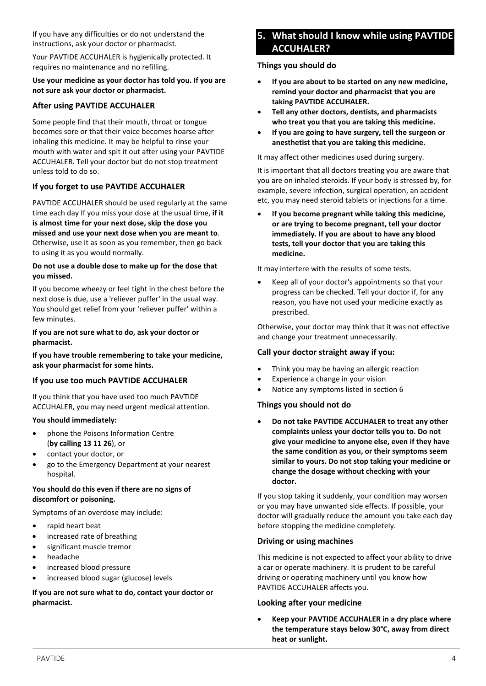If you have any difficulties or do not understand the instructions, ask your doctor or pharmacist.

Your PAVTIDE ACCUHALER is hygienically protected. It requires no maintenance and no refilling.

## **Use your medicine as your doctor has told you. If you are not sure ask your doctor or pharmacist.**

# **After using PAVTIDE ACCUHALER**

Some people find that their mouth, throat or tongue becomes sore or that their voice becomes hoarse after inhaling this medicine. It may be helpful to rinse your mouth with water and spit it out after using your PAVTIDE ACCUHALER. Tell your doctor but do not stop treatment unless told to do so.

# **If you forget to use PAVTIDE ACCUHALER**

PAVTIDE ACCUHALER should be used regularly at the same time each day If you miss your dose at the usual time, **if it is almost time for your next dose, skip the dose you missed and use your next dose when you are meant to**. Otherwise, use it as soon as you remember, then go back to using it as you would normally.

#### **Do not use a double dose to make up for the dose that you missed.**

If you become wheezy or feel tight in the chest before the next dose is due, use a 'reliever puffer' in the usual way. You should get relief from your 'reliever puffer' within a few minutes.

## **If you are not sure what to do, ask your doctor or pharmacist.**

**If you have trouble remembering to take your medicine, ask your pharmacist for some hints.**

# **If you use too much PAVTIDE ACCUHALER**

If you think that you have used too much PAVTIDE ACCUHALER, you may need urgent medical attention.

#### **You should immediately:**

- phone the Poisons Information Centre (**by calling 13 11 26**), or
- contact your doctor, or
- go to the Emergency Department at your nearest hospital.

## **You should do this even if there are no signs of discomfort or poisoning.**

Symptoms of an overdose may include:

- rapid heart beat
- increased rate of breathing
- significant muscle tremor
- headache
- increased blood pressure
- increased blood sugar (glucose) levels

# **If you are not sure what to do, contact your doctor or pharmacist.**

# <span id="page-3-0"></span>**5. What should I know while using PAVTIDE ACCUHALER?**

## **Things you should do**

- **If you are about to be started on any new medicine, remind your doctor and pharmacist that you are taking PAVTIDE ACCUHALER.**
- **Tell any other doctors, dentists, and pharmacists who treat you that you are taking this medicine.**
- **If you are going to have surgery, tell the surgeon or anesthetist that you are taking this medicine.**

It may affect other medicines used during surgery.

It is important that all doctors treating you are aware that you are on inhaled steroids. If your body is stressed by, for example, severe infection, surgical operation, an accident etc, you may need steroid tablets or injections for a time.

• **If you become pregnant while taking this medicine, or are trying to become pregnant, tell your doctor immediately. If you are about to have any blood tests, tell your doctor that you are taking this medicine.** 

It may interfere with the results of some tests.

• Keep all of your doctor's appointments so that your progress can be checked. Tell your doctor if, for any reason, you have not used your medicine exactly as prescribed.

Otherwise, your doctor may think that it was not effective and change your treatment unnecessarily.

# **Call your doctor straight away if you:**

- Think you may be having an allergic reaction
- Experience a change in your vision
- Notice any symptoms listed in section 6

# **Things you should not do**

• **Do not take PAVTIDE ACCUHALER to treat any other complaints unless your doctor tells you to. Do not give your medicine to anyone else, even if they have the same condition as you, or their symptoms seem similar to yours. Do not stop taking your medicine or change the dosage without checking with your doctor.** 

If you stop taking it suddenly, your condition may worsen or you may have unwanted side effects. If possible, your doctor will gradually reduce the amount you take each day before stopping the medicine completely.

#### **Driving or using machines**

This medicine is not expected to affect your ability to drive a car or operate machinery. It is prudent to be careful driving or operating machinery until you know how PAVTIDE ACCUHALER affects you.

# **Looking after your medicine**

• **Keep your PAVTIDE ACCUHALER in a dry place where the temperature stays below 30°C, away from direct heat or sunlight.**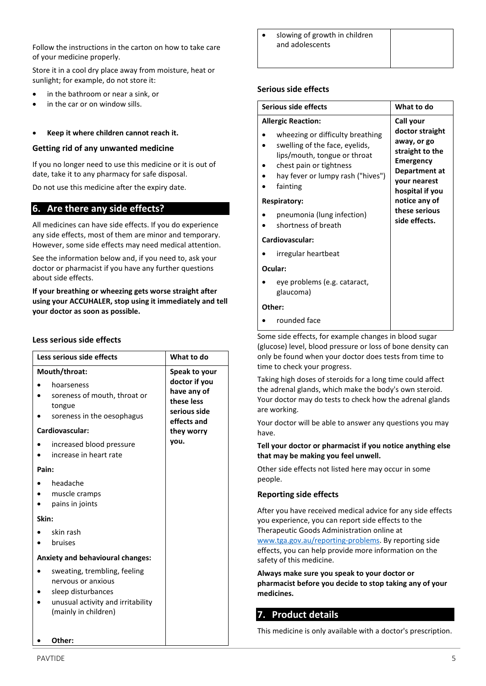Follow the instructions in the carton on how to take care of your medicine properly.

Store it in a cool dry place away from moisture, heat or sunlight; for example, do not store it:

- in the bathroom or near a sink, or
- in the car or on window sills.

#### • **Keep it where children cannot reach it.**

#### **Getting rid of any unwanted medicine**

If you no longer need to use this medicine or it is out of date, take it to any pharmacy for safe disposal.

Do not use this medicine after the expiry date.

# <span id="page-4-0"></span>**6. Are there any side effects?**

All medicines can have side effects. If you do experience any side effects, most of them are minor and temporary. However, some side effects may need medical attention.

See the information below and, if you need to, ask your doctor or pharmacist if you have any further questions about side effects.

**If your breathing or wheezing gets worse straight after using your ACCUHALER, stop using it immediately and tell your doctor as soon as possible.** 

# **Less serious side effects**

| Less serious side effects                                                                                                             | What to do                                                                |  |
|---------------------------------------------------------------------------------------------------------------------------------------|---------------------------------------------------------------------------|--|
| Mouth/throat:                                                                                                                         | Speak to your                                                             |  |
| hoarseness<br>soreness of mouth, throat or<br>tongue<br>soreness in the oesophagus                                                    | doctor if you<br>have any of<br>these less<br>serious side<br>effects and |  |
| Cardiovascular:                                                                                                                       | they worry                                                                |  |
| increased blood pressure<br>increase in heart rate                                                                                    | you.                                                                      |  |
| Pain:                                                                                                                                 |                                                                           |  |
| headache<br>muscle cramps<br>pains in joints<br>Skin:                                                                                 |                                                                           |  |
| skin rash<br>bruises                                                                                                                  |                                                                           |  |
| <b>Anxiety and behavioural changes:</b>                                                                                               |                                                                           |  |
| sweating, trembling, feeling<br>nervous or anxious<br>sleep disturbances<br>unusual activity and irritability<br>(mainly in children) |                                                                           |  |
| Other:                                                                                                                                |                                                                           |  |

slowing of growth in children and adolescents

#### **Serious side effects**

| Serious side effects                                                                                                                                                                                        | What to do                                                                                                                             |  |
|-------------------------------------------------------------------------------------------------------------------------------------------------------------------------------------------------------------|----------------------------------------------------------------------------------------------------------------------------------------|--|
| <b>Allergic Reaction:</b><br>wheezing or difficulty breathing<br>swelling of the face, eyelids,<br>lips/mouth, tongue or throat<br>chest pain or tightness<br>hay fever or lumpy rash ("hives")<br>fainting | Call your<br>doctor straight<br>away, or go<br>straight to the<br><b>Emergency</b><br>Department at<br>your nearest<br>hospital if you |  |
| <b>Respiratory:</b><br>pneumonia (lung infection)<br>shortness of breath                                                                                                                                    | notice any of<br>these serious<br>side effects.                                                                                        |  |
| Cardiovascular:<br>irregular heartbeat                                                                                                                                                                      |                                                                                                                                        |  |
| Ocular:                                                                                                                                                                                                     |                                                                                                                                        |  |
| eye problems (e.g. cataract,<br>glaucoma)                                                                                                                                                                   |                                                                                                                                        |  |
| Other:                                                                                                                                                                                                      |                                                                                                                                        |  |
| rounded face                                                                                                                                                                                                |                                                                                                                                        |  |

Some side effects, for example changes in blood sugar (glucose) level, blood pressure or loss of bone density can only be found when your doctor does tests from time to time to check your progress.

Taking high doses of steroids for a long time could affect the adrenal glands, which make the body's own steroid. Your doctor may do tests to check how the adrenal glands are working.

Your doctor will be able to answer any questions you may have.

#### **Tell your doctor or pharmacist if you notice anything else that may be making you feel unwell.**

Other side effects not listed here may occur in some people.

#### **Reporting side effects**

After you have received medical advice for any side effects you experience, you can report side effects to the Therapeutic Goods Administration online at [www.tga.gov.au/reporting-problems.](http://www.tga.gov.au/reporting-problems) By reporting side effects, you can help provide more information on the safety of this medicine.

**Always make sure you speak to your doctor or pharmacist before you decide to stop taking any of your medicines.**

# <span id="page-4-1"></span>**7. Product details**

This medicine is only available with a doctor's prescription.